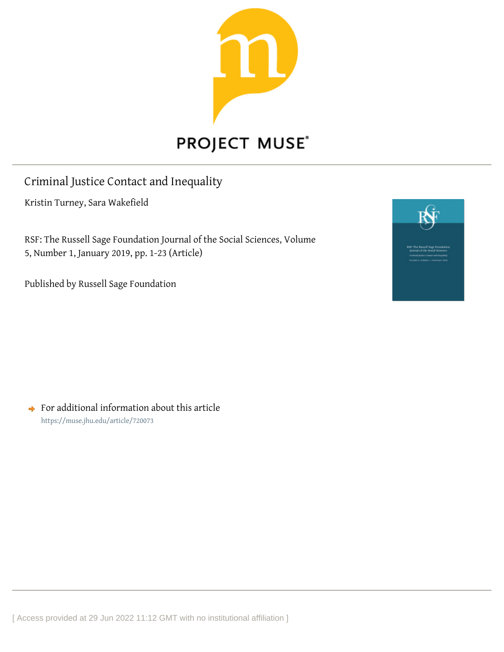

# Criminal Justice Contact and Inequality

Kristin Turney, Sara Wakefield

RSF: The Russell Sage Foundation Journal of the Social Sciences, Volume 5, Number 1, January 2019, pp. 1-23 (Article)

Published by Russell Sage Foundation



 $\rightarrow$  For additional information about this article <https://muse.jhu.edu/article/720073>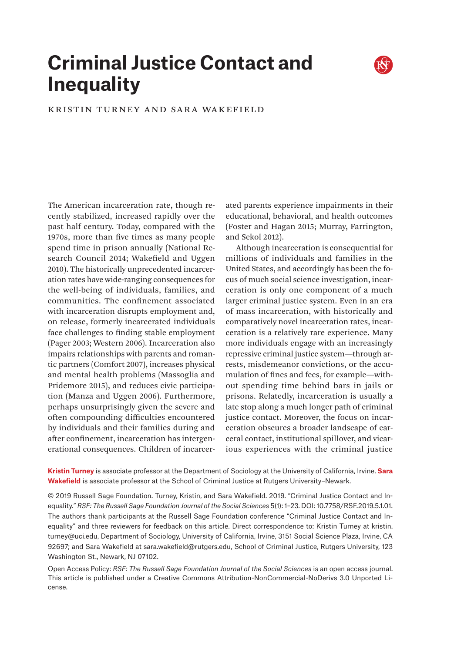# **Criminal Justice Contact and Inequality**



Kristin Turney and Sara Wakefield

The American incarceration rate, though recently stabilized, increased rapidly over the past half century. Today, compared with the 1970s, more than five times as many people spend time in prison annually (National Research Council 2014; Wakefield and Uggen 2010). The historically unprecedented incarceration rates have wide-ranging consequences for the well-being of individuals, families, and communities. The confinement associated with incarceration disrupts employment and, on release, formerly incarcerated individuals face challenges to finding stable employment (Pager 2003; Western 2006). Incarceration also impairs relationships with parents and romantic partners (Comfort 2007), increases physical and mental health problems (Massoglia and Pridemore 2015), and reduces civic participation (Manza and Uggen 2006). Furthermore, perhaps unsurprisingly given the severe and often compounding difficulties encountered by individuals and their families during and after confinement, incarceration has intergenerational consequences. Children of incarcerated parents experience impairments in their educational, behavioral, and health outcomes (Foster and Hagan 2015; Murray, Farrington, and Sekol 2012).

Although incarceration is consequential for millions of individuals and families in the United States, and accordingly has been the focus of much social science investigation, incarceration is only one component of a much larger criminal justice system. Even in an era of mass incarceration, with historically and comparatively novel incarceration rates, incarceration is a relatively rare experience. Many more individuals engage with an increasingly repressive criminal justice system—through arrests, misdemeanor convictions, or the accumulation of fines and fees, for example—without spending time behind bars in jails or prisons. Relatedly, incarceration is usually a late stop along a much longer path of criminal justice contact. Moreover, the focus on incarceration obscures a broader landscape of carceral contact, institutional spillover, and vicarious experiences with the criminal justice

**Kristin Turney** is associate professor at the Department of Sociology at the University of California, Irvine. **Sara Wakefield** is associate professor at the School of Criminal Justice at Rutgers University–Newark.

© 2019 Russell Sage Foundation. Turney, Kristin, and Sara Wakefield. 2019. "Criminal Justice Contact and Inequality." *RSF: The Russell Sage Foundation Journal of the Social Sciences* 5(1): 1–23. DOI: 10.7758/RSF.2019.5.1.01. The authors thank participants at the Russell Sage Foundation conference "Criminal Justice Contact and Inequality" and three reviewers for feedback on this article. Direct correspondence to: Kristin Turney at [kristin.](mailto:kristin.turney%40uci.edu?subject=) [turney@uci.edu](mailto:kristin.turney%40uci.edu?subject=), Department of Sociology, University of California, Irvine, 3151 Social Science Plaza, Irvine, CA 92697; and Sara Wakefield at [sara.wakefield@rutgers.edu,](mailto:sara.wakefield%40rutgers.edu%2C?subject=) School of Criminal Justice, Rutgers University, 123 Washington St., Newark, NJ 07102.

Open Access Policy: *RSF: The Russell Sage Foundation Journal of the Social Sciences* is an open access journal. This article is published under a Creative Commons Attribution-NonCommercial-NoDerivs 3.0 Unported License.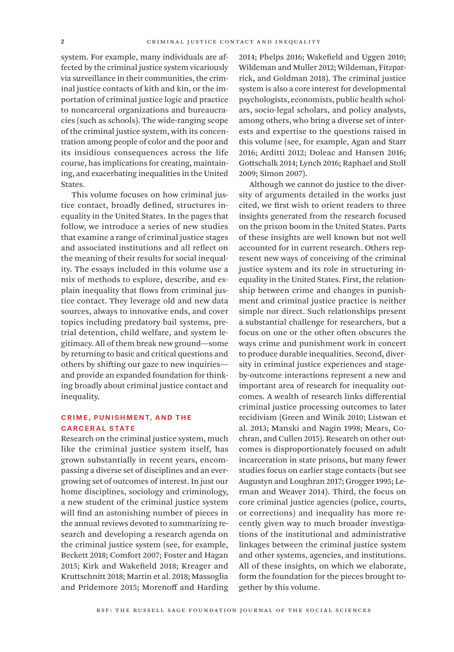system. For example, many individuals are affected by the criminal justice system vicariously via surveillance in their communities, the criminal justice contacts of kith and kin, or the importation of criminal justice logic and practice to noncarceral organizations and bureaucracies (such as schools). The wide-ranging scope of the criminal justice system, with its concentration among people of color and the poor and its insidious consequences across the life course, has implications for creating, maintaining, and exacerbating inequalities in the United States.

This volume focuses on how criminal justice contact, broadly defined, structures inequality in the United States. In the pages that follow, we introduce a series of new studies that examine a range of criminal justice stages and associated institutions and all reflect on the meaning of their results for social inequality. The essays included in this volume use a mix of methods to explore, describe, and explain inequality that flows from criminal justice contact. They leverage old and new data sources, always to innovative ends, and cover topics including predatory bail systems, pretrial detention, child welfare, and system legitimacy. All of them break new ground—some by returning to basic and critical questions and others by shifting our gaze to new inquiries and provide an expanded foundation for thinking broadly about criminal justice contact and inequality.

# Crime, Punishment, and the **CARCERAL STATE**

Research on the criminal justice system, much like the criminal justice system itself, has grown substantially in recent years, encompassing a diverse set of disciplines and an evergrowing set of outcomes of interest. In just our home disciplines, sociology and criminology, a new student of the criminal justice system will find an astonishing number of pieces in the annual reviews devoted to summarizing research and developing a research agenda on the criminal justice system (see, for example, Beckett 2018; Comfort 2007; Foster and Hagan 2015; Kirk and Wakefield 2018; Kreager and Kruttschnitt 2018; Martin et al. 2018; Massoglia and Pridemore 2015; Morenoff and Harding

2014; Phelps 2016; Wakefield and Uggen 2010; Wildeman and Muller 2012; Wildeman, Fitzpatrick, and Goldman 2018). The criminal justice system is also a core interest for developmental psychologists, economists, public health scholars, socio-legal scholars, and policy analysts, among others, who bring a diverse set of interests and expertise to the questions raised in this volume (see, for example, Agan and Starr 2016; Arditti 2012; Doleac and Hansen 2016; Gottschalk 2014; Lynch 2016; Raphael and Stoll 2009; Simon 2007).

Although we cannot do justice to the diversity of arguments detailed in the works just cited, we first wish to orient readers to three insights generated from the research focused on the prison boom in the United States. Parts of these insights are well known but not well accounted for in current research. Others represent new ways of conceiving of the criminal justice system and its role in structuring inequality in the United States. First, the relationship between crime and changes in punishment and criminal justice practice is neither simple nor direct. Such relationships present a substantial challenge for researchers, but a focus on one or the other often obscures the ways crime and punishment work in concert to produce durable inequalities. Second, diversity in criminal justice experiences and stageby-outcome interactions represent a new and important area of research for inequality outcomes. A wealth of research links differential criminal justice processing outcomes to later recidivism (Green and Winik 2010; Listwan et al. 2013; Manski and Nagin 1998; Mears, Cochran, and Cullen 2015). Research on other outcomes is disproportionately focused on adult incarceration in state prisons, but many fewer studies focus on earlier stage contacts (but see Augustyn and Loughran 2017; Grogger 1995; Lerman and Weaver 2014). Third, the focus on core criminal justice agencies (police, courts, or corrections) and inequality has more recently given way to much broader investigations of the institutional and administrative linkages between the criminal justice system and other systems, agencies, and institutions. All of these insights, on which we elaborate, form the foundation for the pieces brought together by this volume.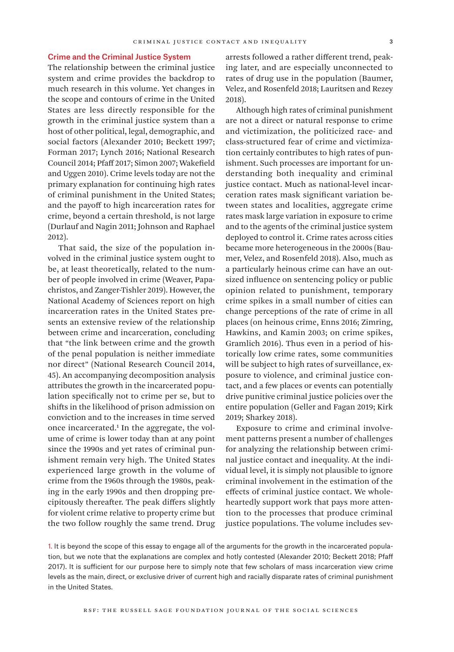#### Crime and the Criminal Justice System

The relationship between the criminal justice system and crime provides the backdrop to much research in this volume. Yet changes in the scope and contours of crime in the United States are less directly responsible for the growth in the criminal justice system than a host of other political, legal, demographic, and social factors (Alexander 2010; Beckett 1997; Forman 2017; Lynch 2016; National Research Council 2014; Pfaff 2017; Simon 2007; Wakefield and Uggen 2010). Crime levels today are not the primary explanation for continuing high rates of criminal punishment in the United States; and the payoff to high incarceration rates for crime, beyond a certain threshold, is not large (Durlauf and Nagin 2011; Johnson and Raphael 2012).

That said, the size of the population involved in the criminal justice system ought to be, at least theoretically, related to the number of people involved in crime (Weaver, Papachristos, and Zanger-Tishler 2019). However, the National Academy of Sciences report on high incarceration rates in the United States presents an extensive review of the relationship between crime and incarceration, concluding that "the link between crime and the growth of the penal population is neither immediate nor direct" (National Research Council 2014, 45). An accompanying decomposition analysis attributes the growth in the incarcerated population specifically not to crime per se, but to shifts in the likelihood of prison admission on conviction and to the increases in time served once incarcerated.<sup>1</sup> In the aggregate, the volume of crime is lower today than at any point since the 1990s and yet rates of criminal punishment remain very high. The United States experienced large growth in the volume of crime from the 1960s through the 1980s, peaking in the early 1990s and then dropping precipitously thereafter. The peak differs slightly for violent crime relative to property crime but the two follow roughly the same trend. Drug arrests followed a rather different trend, peaking later, and are especially unconnected to rates of drug use in the population (Baumer, Velez, and Rosenfeld 2018; Lauritsen and Rezey 2018).

Although high rates of criminal punishment are not a direct or natural response to crime and victimization, the politicized race- and class-structured fear of crime and victimization certainly contributes to high rates of punishment. Such processes are important for understanding both inequality and criminal justice contact. Much as national-level incarceration rates mask significant variation between states and localities, aggregate crime rates mask large variation in exposure to crime and to the agents of the criminal justice system deployed to control it. Crime rates across cities became more heterogeneous in the 2000s (Baumer, Velez, and Rosenfeld 2018). Also, much as a particularly heinous crime can have an outsized influence on sentencing policy or public opinion related to punishment, temporary crime spikes in a small number of cities can change perceptions of the rate of crime in all places (on heinous crime, Enns 2016; Zimring, Hawkins, and Kamin 2003; on crime spikes, Gramlich 2016). Thus even in a period of historically low crime rates, some communities will be subject to high rates of surveillance, exposure to violence, and criminal justice contact, and a few places or events can potentially drive punitive criminal justice policies over the entire population (Geller and Fagan 2019; Kirk 2019; Sharkey 2018).

Exposure to crime and criminal involvement patterns present a number of challenges for analyzing the relationship between criminal justice contact and inequality. At the individual level, it is simply not plausible to ignore criminal involvement in the estimation of the effects of criminal justice contact. We wholeheartedly support work that pays more attention to the processes that produce criminal justice populations. The volume includes sev-

1. It is beyond the scope of this essay to engage all of the arguments for the growth in the incarcerated population, but we note that the explanations are complex and hotly contested (Alexander 2010; Beckett 2018; Pfaff 2017). It is sufficient for our purpose here to simply note that few scholars of mass incarceration view crime levels as the main, direct, or exclusive driver of current high and racially disparate rates of criminal punishment in the United States.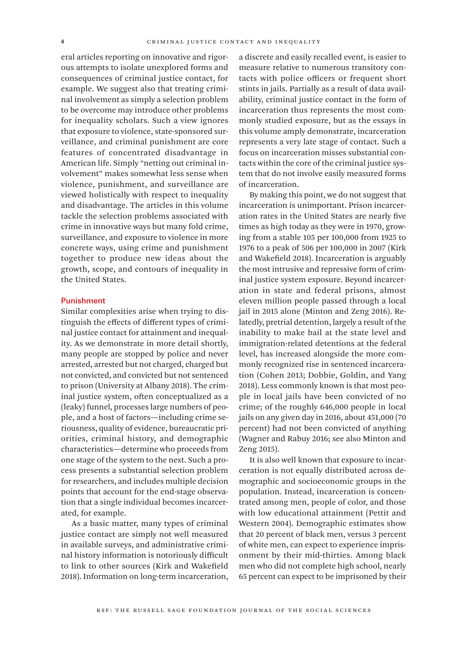eral articles reporting on innovative and rigorous attempts to isolate unexplored forms and consequences of criminal justice contact, for example. We suggest also that treating criminal involvement as simply a selection problem to be overcome may introduce other problems for inequality scholars. Such a view ignores that exposure to violence, state-sponsored surveillance, and criminal punishment are core features of concentrated disadvantage in American life. Simply "netting out criminal involvement" makes somewhat less sense when violence, punishment, and surveillance are viewed holistically with respect to inequality and disadvantage. The articles in this volume tackle the selection problems associated with crime in innovative ways but many fold crime, surveillance, and exposure to violence in more concrete ways, using crime and punishment together to produce new ideas about the growth, scope, and contours of inequality in the United States.

#### Punishment

Similar complexities arise when trying to distinguish the effects of different types of criminal justice contact for attainment and inequality. As we demonstrate in more detail shortly, many people are stopped by police and never arrested, arrested but not charged, charged but not convicted, and convicted but not sentenced to prison (University at Albany 2018). The criminal justice system, often conceptualized as a (leaky) funnel, processes large numbers of people, and a host of factors—including crime seriousness, quality of evidence, bureaucratic priorities, criminal history, and demographic characteristics—determine who proceeds from one stage of the system to the next. Such a process presents a substantial selection problem for researchers, and includes multiple decision points that account for the end-stage observation that a single individual becomes incarcerated, for example.

As a basic matter, many types of criminal justice contact are simply not well measured in available surveys, and administrative criminal history information is notoriously difficult to link to other sources (Kirk and Wakefield 2018). Information on long-term incarceration, a discrete and easily recalled event, is easier to measure relative to numerous transitory contacts with police officers or frequent short stints in jails. Partially as a result of data availability, criminal justice contact in the form of incarceration thus represents the most commonly studied exposure, but as the essays in this volume amply demonstrate, incarceration represents a very late stage of contact. Such a focus on incarceration misses substantial contacts within the core of the criminal justice system that do not involve easily measured forms of incarceration.

By making this point, we do not suggest that incarceration is unimportant. Prison incarceration rates in the United States are nearly five times as high today as they were in 1970, growing from a stable 105 per 100,000 from 1925 to 1976 to a peak of 506 per 100,000 in 2007 (Kirk and Wakefield 2018). Incarceration is arguably the most intrusive and repressive form of criminal justice system exposure. Beyond incarceration in state and federal prisons, almost eleven million people passed through a local jail in 2015 alone (Minton and Zeng 2016). Relatedly, pretrial detention, largely a result of the inability to make bail at the state level and immigration-related detentions at the federal level, has increased alongside the more commonly recognized rise in sentenced incarceration (Cohen 2013; Dobbie, Goldin, and Yang 2018). Less commonly known is that most people in local jails have been convicted of no crime; of the roughly 646,000 people in local jails on any given day in 2016, about 451,000 (70 percent) had not been convicted of anything (Wagner and Rabuy 2016; see also Minton and Zeng 2015).

It is also well known that exposure to incarceration is not equally distributed across demographic and socioeconomic groups in the population. Instead, incarceration is concentrated among men, people of color, and those with low educational attainment (Pettit and Western 2004). Demographic estimates show that 20 percent of black men, versus 3 percent of white men, can expect to experience imprisonment by their mid-thirties. Among black men who did not complete high school, nearly 65 percent can expect to be imprisoned by their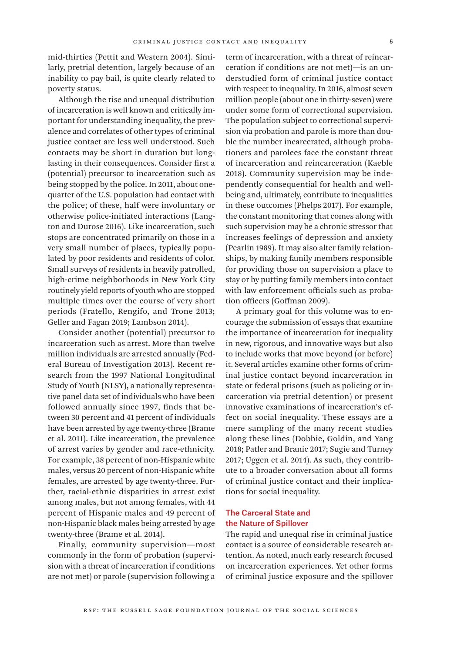mid-thirties (Pettit and Western 2004). Similarly, pretrial detention, largely because of an inability to pay bail, is quite clearly related to poverty status.

Although the rise and unequal distribution of incarceration is well known and critically important for understanding inequality, the prevalence and correlates of other types of criminal justice contact are less well understood. Such contacts may be short in duration but longlasting in their consequences. Consider first a (potential) precursor to incarceration such as being stopped by the police. In 2011, about onequarter of the U.S. population had contact with the police; of these, half were involuntary or otherwise police-initiated interactions (Langton and Durose 2016). Like incarceration, such stops are concentrated primarily on those in a very small number of places, typically populated by poor residents and residents of color. Small surveys of residents in heavily patrolled, high-crime neighborhoods in New York City routinely yield reports of youth who are stopped multiple times over the course of very short periods (Fratello, Rengifo, and Trone 2013; Geller and Fagan 2019; Lambson 2014).

Consider another (potential) precursor to incarceration such as arrest. More than twelve million individuals are arrested annually (Federal Bureau of Investigation 2013). Recent research from the 1997 National Longitudinal Study of Youth (NLSY), a nationally representative panel data set of individuals who have been followed annually since 1997, finds that between 30 percent and 41 percent of individuals have been arrested by age twenty-three (Brame et al. 2011). Like incarceration, the prevalence of arrest varies by gender and race-ethnicity. For example, 38 percent of non-Hispanic white males, versus 20 percent of non-Hispanic white females, are arrested by age twenty-three. Further, racial-ethnic disparities in arrest exist among males, but not among females, with 44 percent of Hispanic males and 49 percent of non-Hispanic black males being arrested by age twenty-three (Brame et al. 2014).

Finally, community supervision—most commonly in the form of probation (supervision with a threat of incarceration if conditions are not met) or parole (supervision following a

term of incarceration, with a threat of reincarceration if conditions are not met)—is an understudied form of criminal justice contact with respect to inequality. In 2016, almost seven million people (about one in thirty-seven) were under some form of correctional supervision. The population subject to correctional supervision via probation and parole is more than double the number incarcerated, although probationers and parolees face the constant threat of incarceration and reincarceration (Kaeble 2018). Community supervision may be independently consequential for health and wellbeing and, ultimately, contribute to inequalities in these outcomes (Phelps 2017). For example, the constant monitoring that comes along with such supervision may be a chronic stressor that increases feelings of depression and anxiety (Pearlin 1989). It may also alter family relationships, by making family members responsible for providing those on supervision a place to stay or by putting family members into contact with law enforcement officials such as probation officers (Goffman 2009).

A primary goal for this volume was to encourage the submission of essays that examine the importance of incarceration for inequality in new, rigorous, and innovative ways but also to include works that move beyond (or before) it. Several articles examine other forms of criminal justice contact beyond incarceration in state or federal prisons (such as policing or incarceration via pretrial detention) or present innovative examinations of incarceration's effect on social inequality. These essays are a mere sampling of the many recent studies along these lines (Dobbie, Goldin, and Yang 2018; Patler and Branic 2017; Sugie and Turney 2017; Uggen et al. 2014). As such, they contribute to a broader conversation about all forms of criminal justice contact and their implications for social inequality.

### The Carceral State and the Nature of Spillover

The rapid and unequal rise in criminal justice contact is a source of considerable research attention. As noted, much early research focused on incarceration experiences. Yet other forms of criminal justice exposure and the spillover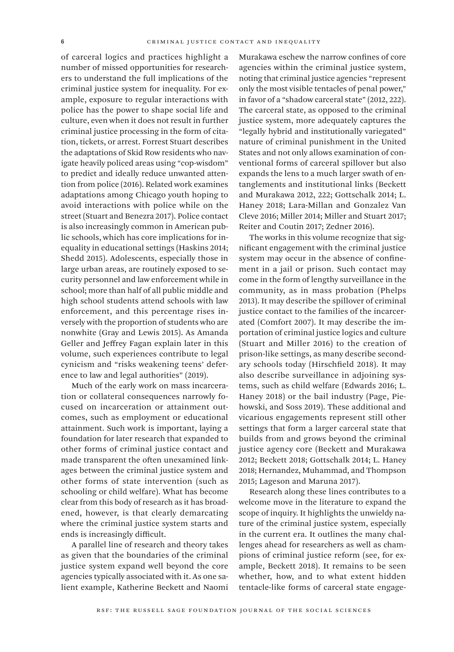of carceral logics and practices highlight a number of missed opportunities for researchers to understand the full implications of the criminal justice system for inequality. For example, exposure to regular interactions with police has the power to shape social life and culture, even when it does not result in further criminal justice processing in the form of citation, tickets, or arrest. Forrest Stuart describes the adaptations of Skid Row residents who navigate heavily policed areas using "cop-wisdom" to predict and ideally reduce unwanted attention from police (2016). Related work examines adaptations among Chicago youth hoping to avoid interactions with police while on the street (Stuart and Benezra 2017). Police contact is also increasingly common in American public schools, which has core implications for inequality in educational settings (Haskins 2014; Shedd 2015). Adolescents, especially those in large urban areas, are routinely exposed to security personnel and law enforcement while in school; more than half of all public middle and high school students attend schools with law enforcement, and this percentage rises inversely with the proportion of students who are nonwhite (Gray and Lewis 2015). As Amanda Geller and Jeffrey Fagan explain later in this volume, such experiences contribute to legal cynicism and "risks weakening teens' deference to law and legal authorities" (2019).

Much of the early work on mass incarceration or collateral consequences narrowly focused on incarceration or attainment outcomes, such as employment or educational attainment. Such work is important, laying a foundation for later research that expanded to other forms of criminal justice contact and made transparent the often unexamined linkages between the criminal justice system and other forms of state intervention (such as schooling or child welfare). What has become clear from this body of research as it has broadened, however, is that clearly demarcating where the criminal justice system starts and ends is increasingly difficult.

A parallel line of research and theory takes as given that the boundaries of the criminal justice system expand well beyond the core agencies typically associated with it. As one salient example, Katherine Beckett and Naomi

Murakawa eschew the narrow confines of core agencies within the criminal justice system, noting that criminal justice agencies "represent only the most visible tentacles of penal power," in favor of a "shadow carceral state" (2012, 222). The carceral state, as opposed to the criminal justice system, more adequately captures the "legally hybrid and institutionally variegated" nature of criminal punishment in the United States and not only allows examination of conventional forms of carceral spillover but also expands the lens to a much larger swath of entanglements and institutional links (Beckett and Murakawa 2012, 222; Gottschalk 2014; L. Haney 2018; Lara-Millan and Gonzalez Van Cleve 2016; Miller 2014; Miller and Stuart 2017; Reiter and Coutin 2017; Zedner 2016).

The works in this volume recognize that significant engagement with the criminal justice system may occur in the absence of confinement in a jail or prison. Such contact may come in the form of lengthy surveillance in the community, as in mass probation (Phelps 2013). It may describe the spillover of criminal justice contact to the families of the incarcerated (Comfort 2007). It may describe the importation of criminal justice logics and culture (Stuart and Miller 2016) to the creation of prison-like settings, as many describe secondary schools today (Hirschfield 2018). It may also describe surveillance in adjoining systems, such as child welfare (Edwards 2016; L. Haney 2018) or the bail industry (Page, Piehowski, and Soss 2019). These additional and vicarious engagements represent still other settings that form a larger carceral state that builds from and grows beyond the criminal justice agency core (Beckett and Murakawa 2012; Beckett 2018; Gottschalk 2014; L. Haney 2018; Hernandez, Muhammad, and Thompson 2015; Lageson and Maruna 2017).

Research along these lines contributes to a welcome move in the literature to expand the scope of inquiry. It highlights the unwieldy nature of the criminal justice system, especially in the current era. It outlines the many challenges ahead for researchers as well as champions of criminal justice reform (see, for example, Beckett 2018). It remains to be seen whether, how, and to what extent hidden tentacle-like forms of carceral state engage-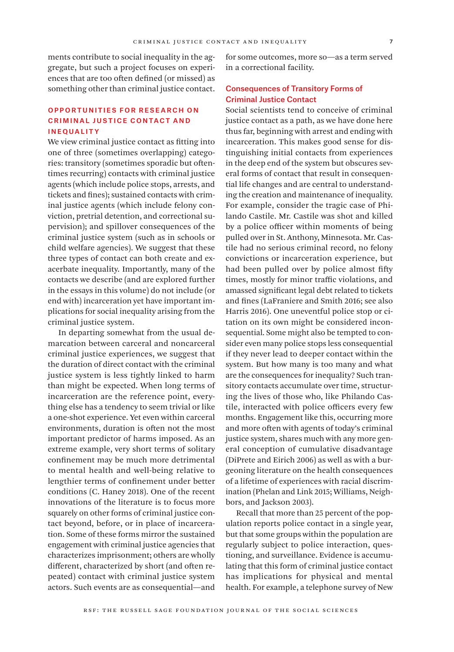ments contribute to social inequality in the aggregate, but such a project focuses on experiences that are too often defined (or missed) as something other than criminal justice contact.

# Opportunities for Research on Criminal Justice Contact and Inequality

We view criminal justice contact as fitting into one of three (sometimes overlapping) categories: transitory (sometimes sporadic but oftentimes recurring) contacts with criminal justice agents (which include police stops, arrests, and tickets and fines); sustained contacts with criminal justice agents (which include felony conviction, pretrial detention, and correctional supervision); and spillover consequences of the criminal justice system (such as in schools or child welfare agencies). We suggest that these three types of contact can both create and exacerbate inequality. Importantly, many of the contacts we describe (and are explored further in the essays in this volume) do not include (or end with) incarceration yet have important implications for social inequality arising from the criminal justice system.

In departing somewhat from the usual demarcation between carceral and noncarceral criminal justice experiences, we suggest that the duration of direct contact with the criminal justice system is less tightly linked to harm than might be expected. When long terms of incarceration are the reference point, everything else has a tendency to seem trivial or like a one-shot experience. Yet even within carceral environments, duration is often not the most important predictor of harms imposed. As an extreme example, very short terms of solitary confinement may be much more detrimental to mental health and well-being relative to lengthier terms of confinement under better conditions (C. Haney 2018). One of the recent innovations of the literature is to focus more squarely on other forms of criminal justice contact beyond, before, or in place of incarceration. Some of these forms mirror the sustained engagement with criminal justice agencies that characterizes imprisonment; others are wholly different, characterized by short (and often repeated) contact with criminal justice system actors. Such events are as consequential—and

for some outcomes, more so—as a term served in a correctional facility.

# Consequences of Transitory Forms of Criminal Justice Contact

Social scientists tend to conceive of criminal justice contact as a path, as we have done here thus far, beginning with arrest and ending with incarceration. This makes good sense for distinguishing initial contacts from experiences in the deep end of the system but obscures several forms of contact that result in consequential life changes and are central to understanding the creation and maintenance of inequality. For example, consider the tragic case of Philando Castile. Mr. Castile was shot and killed by a police officer within moments of being pulled over in St. Anthony, Minnesota. Mr. Castile had no serious criminal record, no felony convictions or incarceration experience, but had been pulled over by police almost fifty times, mostly for minor traffic violations, and amassed significant legal debt related to tickets and fines (LaFraniere and Smith 2016; see also Harris 2016). One uneventful police stop or citation on its own might be considered inconsequential. Some might also be tempted to consider even many police stops less consequential if they never lead to deeper contact within the system. But how many is too many and what are the consequences for inequality? Such transitory contacts accumulate over time, structuring the lives of those who, like Philando Castile, interacted with police officers every few months. Engagement like this, occurring more and more often with agents of today's criminal justice system, shares much with any more general conception of cumulative disadvantage (DiPrete and Eirich 2006) as well as with a burgeoning literature on the health consequences of a lifetime of experiences with racial discrimination (Phelan and Link 2015; Williams, Neighbors, and Jackson 2003).

Recall that more than 25 percent of the population reports police contact in a single year, but that some groups within the population are regularly subject to police interaction, questioning, and surveillance. Evidence is accumulating that this form of criminal justice contact has implications for physical and mental health. For example, a telephone survey of New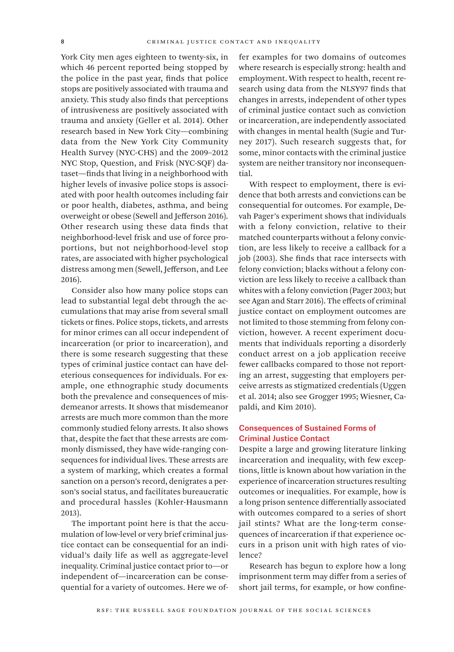York City men ages eighteen to twenty-six, in which 46 percent reported being stopped by the police in the past year, finds that police stops are positively associated with trauma and anxiety. This study also finds that perceptions of intrusiveness are positively associated with trauma and anxiety (Geller et al. 2014). Other research based in New York City—combining data from the New York City Community Health Survey (NYC-CHS) and the 2009–2012 NYC Stop, Question, and Frisk (NYC-SQF) dataset—finds that living in a neighborhood with higher levels of invasive police stops is associated with poor health outcomes including fair or poor health, diabetes, asthma, and being overweight or obese (Sewell and Jefferson 2016). Other research using these data finds that neighborhood-level frisk and use of force proportions, but not neighborhood-level stop rates, are associated with higher psychological distress among men (Sewell, Jefferson, and Lee 2016).

Consider also how many police stops can lead to substantial legal debt through the accumulations that may arise from several small tickets or fines. Police stops, tickets, and arrests for minor crimes can all occur independent of incarceration (or prior to incarceration), and there is some research suggesting that these types of criminal justice contact can have deleterious consequences for individuals. For example, one ethnographic study documents both the prevalence and consequences of misdemeanor arrests. It shows that misdemeanor arrests are much more common than the more commonly studied felony arrests. It also shows that, despite the fact that these arrests are commonly dismissed, they have wide-ranging consequences for individual lives. These arrests are a system of marking, which creates a formal sanction on a person's record, denigrates a person's social status, and facilitates bureaucratic and procedural hassles (Kohler-Hausmann 2013).

The important point here is that the accumulation of low-level or very brief criminal justice contact can be consequential for an individual's daily life as well as aggregate-level inequality. Criminal justice contact prior to—or independent of—incarceration can be consequential for a variety of outcomes. Here we offer examples for two domains of outcomes where research is especially strong: health and employment. With respect to health, recent research using data from the NLSY97 finds that changes in arrests, independent of other types of criminal justice contact such as conviction or incarceration, are independently associated with changes in mental health (Sugie and Turney 2017). Such research suggests that, for some, minor contacts with the criminal justice system are neither transitory nor inconsequential.

With respect to employment, there is evidence that both arrests and convictions can be consequential for outcomes. For example, Devah Pager's experiment shows that individuals with a felony conviction, relative to their matched counterparts without a felony conviction, are less likely to receive a callback for a job (2003). She finds that race intersects with felony conviction; blacks without a felony conviction are less likely to receive a callback than whites with a felony conviction (Pager 2003; but see Agan and Starr 2016). The effects of criminal justice contact on employment outcomes are not limited to those stemming from felony conviction, however. A recent experiment documents that individuals reporting a disorderly conduct arrest on a job application receive fewer callbacks compared to those not reporting an arrest, suggesting that employers perceive arrests as stigmatized credentials (Uggen et al. 2014; also see Grogger 1995; Wiesner, Capaldi, and Kim 2010).

# Consequences of Sustained Forms of Criminal Justice Contact

Despite a large and growing literature linking incarceration and inequality, with few exceptions, little is known about how variation in the experience of incarceration structures resulting outcomes or inequalities. For example, how is a long prison sentence differentially associated with outcomes compared to a series of short jail stints? What are the long-term consequences of incarceration if that experience occurs in a prison unit with high rates of violence?

Research has begun to explore how a long imprisonment term may differ from a series of short jail terms, for example, or how confine-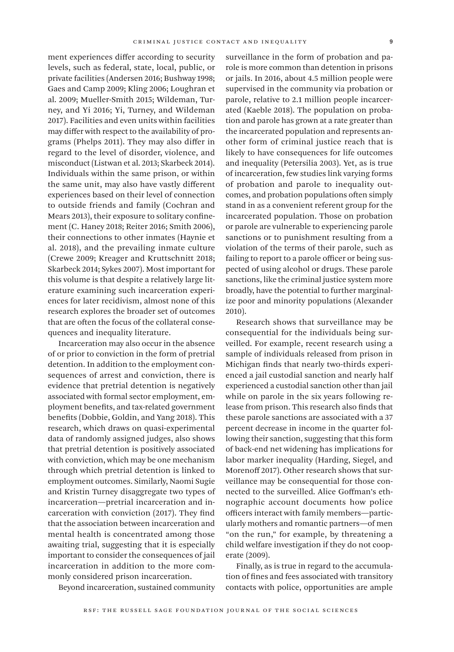ment experiences differ according to security levels, such as federal, state, local, public, or private facilities (Andersen 2016; Bushway 1998; Gaes and Camp 2009; Kling 2006; Loughran et al. 2009; Mueller-Smith 2015; Wildeman, Turney, and Yi 2016; Yi, Turney, and Wildeman 2017). Facilities and even units within facilities may differ with respect to the availability of programs (Phelps 2011). They may also differ in regard to the level of disorder, violence, and misconduct (Listwan et al. 2013; Skarbeck 2014). Individuals within the same prison, or within the same unit, may also have vastly different experiences based on their level of connection to outside friends and family (Cochran and Mears 2013), their exposure to solitary confinement (C. Haney 2018; Reiter 2016; Smith 2006), their connections to other inmates (Haynie et al. 2018), and the prevailing inmate culture (Crewe 2009; Kreager and Kruttschnitt 2018; Skarbeck 2014; Sykes 2007). Most important for this volume is that despite a relatively large literature examining such incarceration experiences for later recidivism, almost none of this research explores the broader set of outcomes that are often the focus of the collateral consequences and inequality literature.

Incarceration may also occur in the absence of or prior to conviction in the form of pretrial detention. In addition to the employment consequences of arrest and conviction, there is evidence that pretrial detention is negatively associated with formal sector employment, employment benefits, and tax-related government benefits (Dobbie, Goldin, and Yang 2018). This research, which draws on quasi-experimental data of randomly assigned judges, also shows that pretrial detention is positively associated with conviction, which may be one mechanism through which pretrial detention is linked to employment outcomes. Similarly, Naomi Sugie and Kristin Turney disaggregate two types of incarceration—pretrial incarceration and incarceration with conviction (2017). They find that the association between incarceration and mental health is concentrated among those awaiting trial, suggesting that it is especially important to consider the consequences of jail incarceration in addition to the more commonly considered prison incarceration.

Beyond incarceration, sustained community

surveillance in the form of probation and parole is more common than detention in prisons or jails. In 2016, about 4.5 million people were supervised in the community via probation or parole, relative to 2.1 million people incarcerated (Kaeble 2018). The population on probation and parole has grown at a rate greater than the incarcerated population and represents another form of criminal justice reach that is likely to have consequences for life outcomes and inequality (Petersilia 2003). Yet, as is true of incarceration, few studies link varying forms of probation and parole to inequality outcomes, and probation populations often simply stand in as a convenient referent group for the incarcerated population. Those on probation or parole are vulnerable to experiencing parole sanctions or to punishment resulting from a violation of the terms of their parole, such as failing to report to a parole officer or being suspected of using alcohol or drugs. These parole sanctions, like the criminal justice system more broadly, have the potential to further marginalize poor and minority populations (Alexander 2010).

Research shows that surveillance may be consequential for the individuals being surveilled. For example, recent research using a sample of individuals released from prison in Michigan finds that nearly two-thirds experienced a jail custodial sanction and nearly half experienced a custodial sanction other than jail while on parole in the six years following release from prison. This research also finds that these parole sanctions are associated with a 37 percent decrease in income in the quarter following their sanction, suggesting that this form of back-end net widening has implications for labor marker inequality (Harding, Siegel, and Morenoff 2017). Other research shows that surveillance may be consequential for those connected to the surveilled. Alice Goffman's ethnographic account documents how police officers interact with family members—particularly mothers and romantic partners—of men "on the run," for example, by threatening a child welfare investigation if they do not cooperate (2009).

Finally, as is true in regard to the accumulation of fines and fees associated with transitory contacts with police, opportunities are ample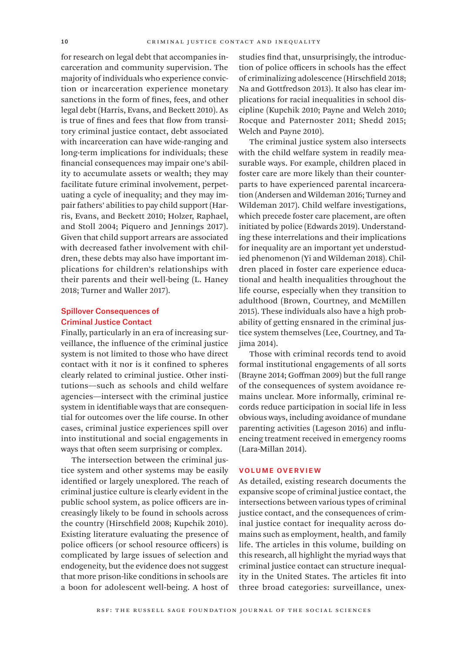for research on legal debt that accompanies incarceration and community supervision. The majority of individuals who experience conviction or incarceration experience monetary sanctions in the form of fines, fees, and other legal debt (Harris, Evans, and Beckett 2010). As is true of fines and fees that flow from transitory criminal justice contact, debt associated with incarceration can have wide-ranging and long-term implications for individuals; these financial consequences may impair one's ability to accumulate assets or wealth; they may facilitate future criminal involvement, perpetuating a cycle of inequality; and they may impair fathers' abilities to pay child support (Harris, Evans, and Beckett 2010; Holzer, Raphael, and Stoll 2004; Piquero and Jennings 2017). Given that child support arrears are associated with decreased father involvement with children, these debts may also have important implications for children's relationships with their parents and their well-being (L. Haney 2018; Turner and Waller 2017).

# Spillover Consequences of Criminal Justice Contact

Finally, particularly in an era of increasing surveillance, the influence of the criminal justice system is not limited to those who have direct contact with it nor is it confined to spheres clearly related to criminal justice. Other institutions—such as schools and child welfare agencies—intersect with the criminal justice system in identifiable ways that are consequential for outcomes over the life course. In other cases, criminal justice experiences spill over into institutional and social engagements in ways that often seem surprising or complex.

The intersection between the criminal justice system and other systems may be easily identified or largely unexplored. The reach of criminal justice culture is clearly evident in the public school system, as police officers are increasingly likely to be found in schools across the country (Hirschfield 2008; Kupchik 2010). Existing literature evaluating the presence of police officers (or school resource officers) is complicated by large issues of selection and endogeneity, but the evidence does not suggest that more prison-like conditions in schools are a boon for adolescent well-being. A host of

studies find that, unsurprisingly, the introduction of police officers in schools has the effect of criminalizing adolescence (Hirschfield 2018; Na and Gottfredson 2013). It also has clear implications for racial inequalities in school discipline (Kupchik 2010; Payne and Welch 2010; Rocque and Paternoster 2011; Shedd 2015; Welch and Payne 2010).

The criminal justice system also intersects with the child welfare system in readily measurable ways. For example, children placed in foster care are more likely than their counterparts to have experienced parental incarceration (Andersen and Wildeman 2016; Turney and Wildeman 2017). Child welfare investigations, which precede foster care placement, are often initiated by police (Edwards 2019). Understanding these interrelations and their implications for inequality are an important yet understudied phenomenon (Yi and Wildeman 2018). Children placed in foster care experience educational and health inequalities throughout the life course, especially when they transition to adulthood (Brown, Courtney, and McMillen 2015). These individuals also have a high probability of getting ensnared in the criminal justice system themselves (Lee, Courtney, and Tajima 2014).

Those with criminal records tend to avoid formal institutional engagements of all sorts (Brayne 2014; Goffman 2009) but the full range of the consequences of system avoidance remains unclear. More informally, criminal records reduce participation in social life in less obvious ways, including avoidance of mundane parenting activities (Lageson 2016) and influencing treatment received in emergency rooms (Lara-Millan 2014).

#### Volume Overview

As detailed, existing research documents the expansive scope of criminal justice contact, the intersections between various types of criminal justice contact, and the consequences of criminal justice contact for inequality across domains such as employment, health, and family life. The articles in this volume, building on this research, all highlight the myriad ways that criminal justice contact can structure inequality in the United States. The articles fit into three broad categories: surveillance, unex-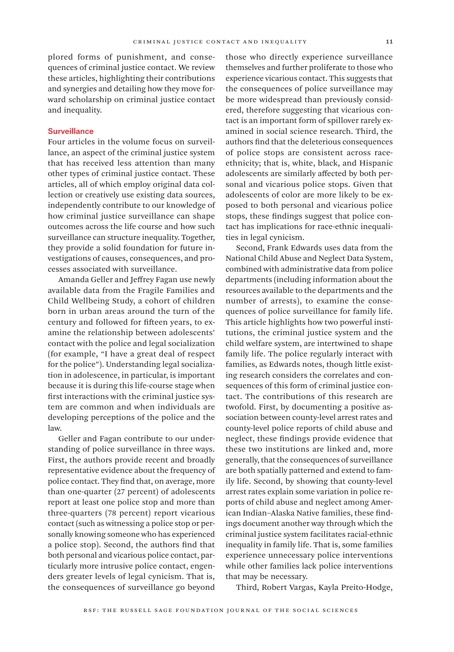plored forms of punishment, and consequences of criminal justice contact. We review these articles, highlighting their contributions and synergies and detailing how they move forward scholarship on criminal justice contact and inequality.

# Surveillance

Four articles in the volume focus on surveillance, an aspect of the criminal justice system that has received less attention than many other types of criminal justice contact. These articles, all of which employ original data collection or creatively use existing data sources, independently contribute to our knowledge of how criminal justice surveillance can shape outcomes across the life course and how such surveillance can structure inequality. Together, they provide a solid foundation for future investigations of causes, consequences, and processes associated with surveillance.

Amanda Geller and Jeffrey Fagan use newly available data from the Fragile Families and Child Wellbeing Study, a cohort of children born in urban areas around the turn of the century and followed for fifteen years, to examine the relationship between adolescents' contact with the police and legal socialization (for example, "I have a great deal of respect for the police"). Understanding legal socialization in adolescence, in particular, is important because it is during this life-course stage when first interactions with the criminal justice system are common and when individuals are developing perceptions of the police and the law.

Geller and Fagan contribute to our understanding of police surveillance in three ways. First, the authors provide recent and broadly representative evidence about the frequency of police contact. They find that, on average, more than one-quarter (27 percent) of adolescents report at least one police stop and more than three-quarters (78 percent) report vicarious contact (such as witnessing a police stop or personally knowing someone who has experienced a police stop). Second, the authors find that both personal and vicarious police contact, particularly more intrusive police contact, engenders greater levels of legal cynicism. That is, the consequences of surveillance go beyond

those who directly experience surveillance themselves and further proliferate to those who experience vicarious contact. This suggests that the consequences of police surveillance may be more widespread than previously considered, therefore suggesting that vicarious contact is an important form of spillover rarely examined in social science research. Third, the authors find that the deleterious consequences of police stops are consistent across raceethnicity; that is, white, black, and Hispanic adolescents are similarly affected by both personal and vicarious police stops. Given that adolescents of color are more likely to be exposed to both personal and vicarious police stops, these findings suggest that police contact has implications for race-ethnic inequalities in legal cynicism.

Second, Frank Edwards uses data from the National Child Abuse and Neglect Data System, combined with administrative data from police departments (including information about the resources available to the departments and the number of arrests), to examine the consequences of police surveillance for family life. This article highlights how two powerful institutions, the criminal justice system and the child welfare system, are intertwined to shape family life. The police regularly interact with families, as Edwards notes, though little existing research considers the correlates and consequences of this form of criminal justice contact. The contributions of this research are twofold. First, by documenting a positive association between county-level arrest rates and county-level police reports of child abuse and neglect, these findings provide evidence that these two institutions are linked and, more generally, that the consequences of surveillance are both spatially patterned and extend to family life. Second, by showing that county-level arrest rates explain some variation in police reports of child abuse and neglect among American Indian–Alaska Native families, these findings document another way through which the criminal justice system facilitates racial-ethnic inequality in family life. That is, some families experience unnecessary police interventions while other families lack police interventions that may be necessary.

Third, Robert Vargas, Kayla Preito-Hodge,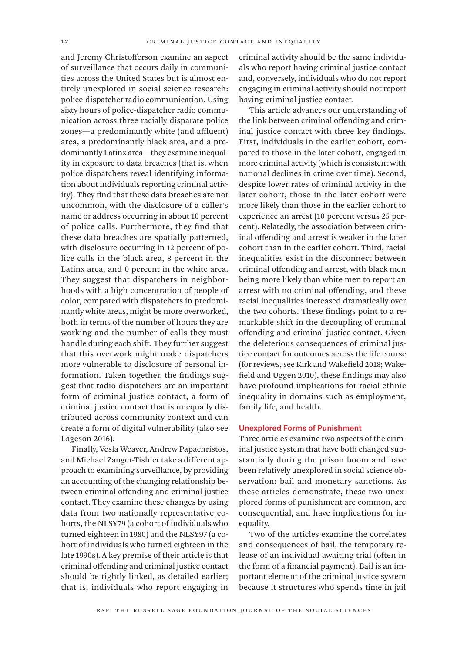and Jeremy Christofferson examine an aspect of surveillance that occurs daily in communities across the United States but is almost entirely unexplored in social science research: police-dispatcher radio communication. Using sixty hours of police-dispatcher radio communication across three racially disparate police zones—a predominantly white (and affluent) area, a predominantly black area, and a predominantly Latinx area—they examine inequality in exposure to data breaches (that is, when police dispatchers reveal identifying information about individuals reporting criminal activity). They find that these data breaches are not uncommon, with the disclosure of a caller's name or address occurring in about 10 percent of police calls. Furthermore, they find that these data breaches are spatially patterned, with disclosure occurring in 12 percent of police calls in the black area, 8 percent in the Latinx area, and 0 percent in the white area. They suggest that dispatchers in neighborhoods with a high concentration of people of color, compared with dispatchers in predominantly white areas, might be more overworked, both in terms of the number of hours they are working and the number of calls they must handle during each shift. They further suggest that this overwork might make dispatchers more vulnerable to disclosure of personal information. Taken together, the findings suggest that radio dispatchers are an important form of criminal justice contact, a form of criminal justice contact that is unequally distributed across community context and can create a form of digital vulnerability (also see Lageson 2016).

Finally, Vesla Weaver, Andrew Papachristos, and Michael Zanger-Tishler take a different approach to examining surveillance, by providing an accounting of the changing relationship between criminal offending and criminal justice contact. They examine these changes by using data from two nationally representative cohorts, the NLSY79 (a cohort of individuals who turned eighteen in 1980) and the NLSY97 (a cohort of individuals who turned eighteen in the late 1990s). A key premise of their article is that criminal offending and criminal justice contact should be tightly linked, as detailed earlier; that is, individuals who report engaging in

criminal activity should be the same individuals who report having criminal justice contact and, conversely, individuals who do not report engaging in criminal activity should not report having criminal justice contact.

This article advances our understanding of the link between criminal offending and criminal justice contact with three key findings. First, individuals in the earlier cohort, compared to those in the later cohort, engaged in more criminal activity (which is consistent with national declines in crime over time). Second, despite lower rates of criminal activity in the later cohort, those in the later cohort were more likely than those in the earlier cohort to experience an arrest (10 percent versus 25 percent). Relatedly, the association between criminal offending and arrest is weaker in the later cohort than in the earlier cohort. Third, racial inequalities exist in the disconnect between criminal offending and arrest, with black men being more likely than white men to report an arrest with no criminal offending, and these racial inequalities increased dramatically over the two cohorts. These findings point to a remarkable shift in the decoupling of criminal offending and criminal justice contact. Given the deleterious consequences of criminal justice contact for outcomes across the life course (for reviews, see Kirk and Wakefield 2018; Wakefield and Uggen 2010), these findings may also have profound implications for racial-ethnic inequality in domains such as employment, family life, and health.

#### Unexplored Forms of Punishment

Three articles examine two aspects of the criminal justice system that have both changed substantially during the prison boom and have been relatively unexplored in social science observation: bail and monetary sanctions. As these articles demonstrate, these two unexplored forms of punishment are common, are consequential, and have implications for inequality.

Two of the articles examine the correlates and consequences of bail, the temporary release of an individual awaiting trial (often in the form of a financial payment). Bail is an important element of the criminal justice system because it structures who spends time in jail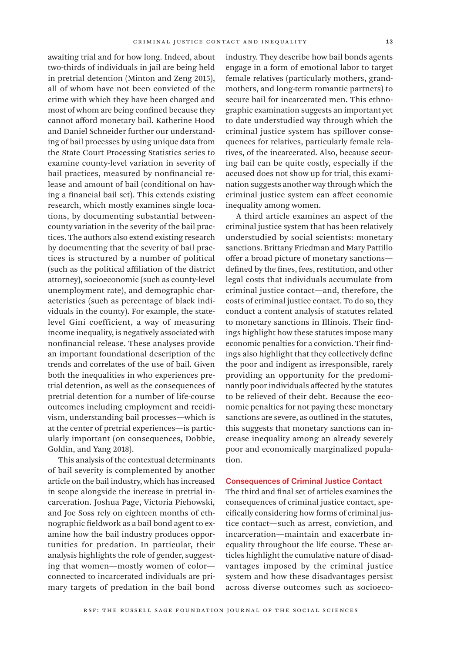awaiting trial and for how long. Indeed, about two-thirds of individuals in jail are being held in pretrial detention (Minton and Zeng 2015), all of whom have not been convicted of the crime with which they have been charged and most of whom are being confined because they cannot afford monetary bail. Katherine Hood and Daniel Schneider further our understanding of bail processes by using unique data from the State Court Processing Statistics series to examine county-level variation in severity of bail practices, measured by nonfinancial release and amount of bail (conditional on having a financial bail set). This extends existing research, which mostly examines single locations, by documenting substantial betweencounty variation in the severity of the bail practices. The authors also extend existing research by documenting that the severity of bail practices is structured by a number of political (such as the political affiliation of the district attorney), socioeconomic (such as county-level unemployment rate), and demographic characteristics (such as percentage of black individuals in the county). For example, the statelevel Gini coefficient, a way of measuring income inequality, is negatively associated with nonfinancial release. These analyses provide an important foundational description of the trends and correlates of the use of bail. Given both the inequalities in who experiences pretrial detention, as well as the consequences of pretrial detention for a number of life-course outcomes including employment and recidivism, understanding bail processes—which is at the center of pretrial experiences—is particularly important (on consequences, Dobbie, Goldin, and Yang 2018).

This analysis of the contextual determinants of bail severity is complemented by another article on the bail industry, which has increased in scope alongside the increase in pretrial incarceration. Joshua Page, Victoria Piehowski, and Joe Soss rely on eighteen months of ethnographic fieldwork as a bail bond agent to examine how the bail industry produces opportunities for predation. In particular, their analysis highlights the role of gender, suggesting that women—mostly women of color connected to incarcerated individuals are primary targets of predation in the bail bond

industry. They describe how bail bonds agents engage in a form of emotional labor to target female relatives (particularly mothers, grandmothers, and long-term romantic partners) to secure bail for incarcerated men. This ethnographic examination suggests an important yet to date understudied way through which the criminal justice system has spillover consequences for relatives, particularly female relatives, of the incarcerated. Also, because securing bail can be quite costly, especially if the accused does not show up for trial, this examination suggests another way through which the criminal justice system can affect economic inequality among women.

A third article examines an aspect of the criminal justice system that has been relatively understudied by social scientists: monetary sanctions. Brittany Friedman and Mary Pattillo offer a broad picture of monetary sanctions defined by the fines, fees, restitution, and other legal costs that individuals accumulate from criminal justice contact—and, therefore, the costs of criminal justice contact. To do so, they conduct a content analysis of statutes related to monetary sanctions in Illinois. Their findings highlight how these statutes impose many economic penalties for a conviction. Their findings also highlight that they collectively define the poor and indigent as irresponsible, rarely providing an opportunity for the predominantly poor individuals affected by the statutes to be relieved of their debt. Because the economic penalties for not paying these monetary sanctions are severe, as outlined in the statutes, this suggests that monetary sanctions can increase inequality among an already severely poor and economically marginalized population.

#### Consequences of Criminal Justice Contact

The third and final set of articles examines the consequences of criminal justice contact, specifically considering how forms of criminal justice contact—such as arrest, conviction, and incarceration—maintain and exacerbate inequality throughout the life course. These articles highlight the cumulative nature of disadvantages imposed by the criminal justice system and how these disadvantages persist across diverse outcomes such as socioeco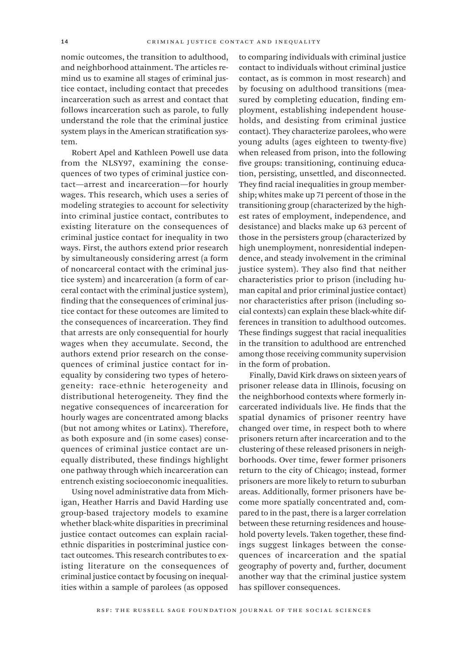nomic outcomes, the transition to adulthood, and neighborhood attainment. The articles remind us to examine all stages of criminal justice contact, including contact that precedes incarceration such as arrest and contact that follows incarceration such as parole, to fully understand the role that the criminal justice system plays in the American stratification system.

Robert Apel and Kathleen Powell use data from the NLSY97, examining the consequences of two types of criminal justice contact—arrest and incarceration—for hourly wages. This research, which uses a series of modeling strategies to account for selectivity into criminal justice contact, contributes to existing literature on the consequences of criminal justice contact for inequality in two ways. First, the authors extend prior research by simultaneously considering arrest (a form of noncarceral contact with the criminal justice system) and incarceration (a form of carceral contact with the criminal justice system), finding that the consequences of criminal justice contact for these outcomes are limited to the consequences of incarceration. They find that arrests are only consequential for hourly wages when they accumulate. Second, the authors extend prior research on the consequences of criminal justice contact for inequality by considering two types of heterogeneity: race-ethnic heterogeneity and distributional heterogeneity. They find the negative consequences of incarceration for hourly wages are concentrated among blacks (but not among whites or Latinx). Therefore, as both exposure and (in some cases) consequences of criminal justice contact are unequally distributed, these findings highlight one pathway through which incarceration can entrench existing socioeconomic inequalities.

Using novel administrative data from Michigan, Heather Harris and David Harding use group-based trajectory models to examine whether black-white disparities in precriminal justice contact outcomes can explain racialethnic disparities in postcriminal justice contact outcomes. This research contributes to existing literature on the consequences of criminal justice contact by focusing on inequalities within a sample of parolees (as opposed

to comparing individuals with criminal justice contact to individuals without criminal justice contact, as is common in most research) and by focusing on adulthood transitions (measured by completing education, finding employment, establishing independent households, and desisting from criminal justice contact). They characterize parolees, who were young adults (ages eighteen to twenty-five) when released from prison, into the following five groups: transitioning, continuing education, persisting, unsettled, and disconnected. They find racial inequalities in group membership; whites make up 71 percent of those in the transitioning group (characterized by the highest rates of employment, independence, and desistance) and blacks make up 63 percent of those in the persisters group (characterized by high unemployment, nonresidential independence, and steady involvement in the criminal justice system). They also find that neither characteristics prior to prison (including human capital and prior criminal justice contact) nor characteristics after prison (including social contexts) can explain these black-white differences in transition to adulthood outcomes. These findings suggest that racial inequalities in the transition to adulthood are entrenched among those receiving community supervision in the form of probation.

Finally, David Kirk draws on sixteen years of prisoner release data in Illinois, focusing on the neighborhood contexts where formerly incarcerated individuals live. He finds that the spatial dynamics of prisoner reentry have changed over time, in respect both to where prisoners return after incarceration and to the clustering of these released prisoners in neighborhoods. Over time, fewer former prisoners return to the city of Chicago; instead, former prisoners are more likely to return to suburban areas. Additionally, former prisoners have become more spatially concentrated and, compared to in the past, there is a larger correlation between these returning residences and household poverty levels. Taken together, these findings suggest linkages between the consequences of incarceration and the spatial geography of poverty and, further, document another way that the criminal justice system has spillover consequences.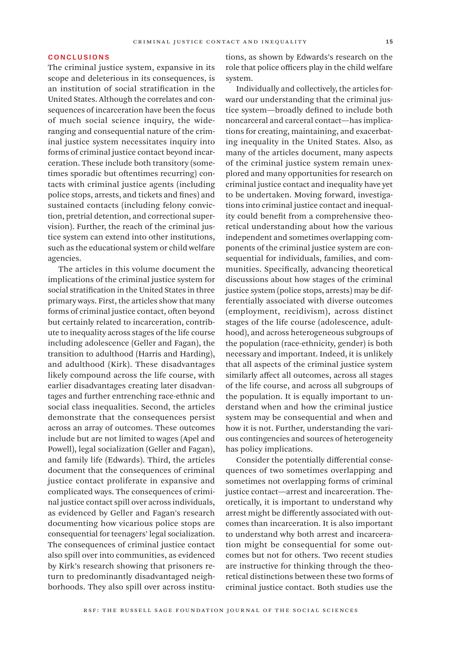#### Conclusions

The criminal justice system, expansive in its scope and deleterious in its consequences, is an institution of social stratification in the United States. Although the correlates and consequences of incarceration have been the focus of much social science inquiry, the wideranging and consequential nature of the criminal justice system necessitates inquiry into forms of criminal justice contact beyond incarceration. These include both transitory (sometimes sporadic but oftentimes recurring) contacts with criminal justice agents (including police stops, arrests, and tickets and fines) and sustained contacts (including felony conviction, pretrial detention, and correctional supervision). Further, the reach of the criminal justice system can extend into other institutions, such as the educational system or child welfare agencies.

The articles in this volume document the implications of the criminal justice system for social stratification in the United States in three primary ways. First, the articles show that many forms of criminal justice contact, often beyond but certainly related to incarceration, contribute to inequality across stages of the life course including adolescence (Geller and Fagan), the transition to adulthood (Harris and Harding), and adulthood (Kirk). These disadvantages likely compound across the life course, with earlier disadvantages creating later disadvantages and further entrenching race-ethnic and social class inequalities. Second, the articles demonstrate that the consequences persist across an array of outcomes. These outcomes include but are not limited to wages (Apel and Powell), legal socialization (Geller and Fagan), and family life (Edwards). Third, the articles document that the consequences of criminal justice contact proliferate in expansive and complicated ways. The consequences of criminal justice contact spill over across individuals, as evidenced by Geller and Fagan's research documenting how vicarious police stops are consequential for teenagers' legal socialization. The consequences of criminal justice contact also spill over into communities, as evidenced by Kirk's research showing that prisoners return to predominantly disadvantaged neighborhoods. They also spill over across institutions, as shown by Edwards's research on the role that police officers play in the child welfare system.

Individually and collectively, the articles forward our understanding that the criminal justice system—broadly defined to include both noncarceral and carceral contact—has implications for creating, maintaining, and exacerbating inequality in the United States. Also, as many of the articles document, many aspects of the criminal justice system remain unexplored and many opportunities for research on criminal justice contact and inequality have yet to be undertaken. Moving forward, investigations into criminal justice contact and inequality could benefit from a comprehensive theoretical understanding about how the various independent and sometimes overlapping components of the criminal justice system are consequential for individuals, families, and communities. Specifically, advancing theoretical discussions about how stages of the criminal justice system (police stops, arrests) may be differentially associated with diverse outcomes (employment, recidivism), across distinct stages of the life course (adolescence, adulthood), and across heterogeneous subgroups of the population (race-ethnicity, gender) is both necessary and important. Indeed, it is unlikely that all aspects of the criminal justice system similarly affect all outcomes, across all stages of the life course, and across all subgroups of the population. It is equally important to understand when and how the criminal justice system may be consequential and when and how it is not. Further, understanding the various contingencies and sources of heterogeneity has policy implications.

Consider the potentially differential consequences of two sometimes overlapping and sometimes not overlapping forms of criminal justice contact—arrest and incarceration. Theoretically, it is important to understand why arrest might be differently associated with outcomes than incarceration. It is also important to understand why both arrest and incarceration might be consequential for some outcomes but not for others. Two recent studies are instructive for thinking through the theoretical distinctions between these two forms of criminal justice contact. Both studies use the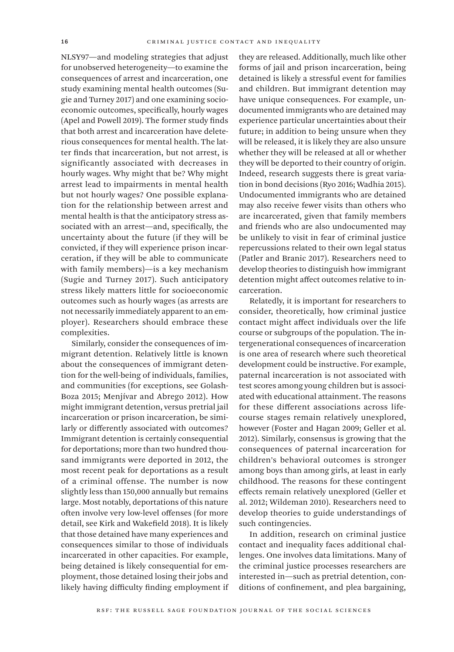NLSY97—and modeling strategies that adjust for unobserved heterogeneity—to examine the consequences of arrest and incarceration, one study examining mental health outcomes (Sugie and Turney 2017) and one examining socioeconomic outcomes, specifically, hourly wages (Apel and Powell 2019). The former study finds that both arrest and incarceration have deleterious consequences for mental health. The latter finds that incarceration, but not arrest, is significantly associated with decreases in hourly wages. Why might that be? Why might arrest lead to impairments in mental health but not hourly wages? One possible explanation for the relationship between arrest and mental health is that the anticipatory stress associated with an arrest—and, specifically, the uncertainty about the future (if they will be convicted, if they will experience prison incarceration, if they will be able to communicate with family members)—is a key mechanism (Sugie and Turney 2017). Such anticipatory stress likely matters little for socioeconomic outcomes such as hourly wages (as arrests are not necessarily immediately apparent to an employer). Researchers should embrace these complexities.

Similarly, consider the consequences of immigrant detention. Relatively little is known about the consequences of immigrant detention for the well-being of individuals, families, and communities (for exceptions, see Golash-Boza 2015; Menjívar and Abrego 2012). How might immigrant detention, versus pretrial jail incarceration or prison incarceration, be similarly or differently associated with outcomes? Immigrant detention is certainly consequential for deportations; more than two hundred thousand immigrants were deported in 2012, the most recent peak for deportations as a result of a criminal offense. The number is now slightly less than 150,000 annually but remains large. Most notably, deportations of this nature often involve very low-level offenses (for more detail, see Kirk and Wakefield 2018). It is likely that those detained have many experiences and consequences similar to those of individuals incarcerated in other capacities. For example, being detained is likely consequential for employment, those detained losing their jobs and likely having difficulty finding employment if

they are released. Additionally, much like other forms of jail and prison incarceration, being detained is likely a stressful event for families and children. But immigrant detention may have unique consequences. For example, undocumented immigrants who are detained may experience particular uncertainties about their future; in addition to being unsure when they will be released, it is likely they are also unsure whether they will be released at all or whether they will be deported to their country of origin. Indeed, research suggests there is great variation in bond decisions (Ryo 2016; Wadhia 2015). Undocumented immigrants who are detained may also receive fewer visits than others who are incarcerated, given that family members and friends who are also undocumented may be unlikely to visit in fear of criminal justice repercussions related to their own legal status (Patler and Branic 2017). Researchers need to develop theories to distinguish how immigrant detention might affect outcomes relative to incarceration.

Relatedly, it is important for researchers to consider, theoretically, how criminal justice contact might affect individuals over the life course or subgroups of the population. The intergenerational consequences of incarceration is one area of research where such theoretical development could be instructive. For example, paternal incarceration is not associated with test scores among young children but is associated with educational attainment. The reasons for these different associations across lifecourse stages remain relatively unexplored, however (Foster and Hagan 2009; Geller et al. 2012). Similarly, consensus is growing that the consequences of paternal incarceration for children's behavioral outcomes is stronger among boys than among girls, at least in early childhood. The reasons for these contingent effects remain relatively unexplored (Geller et al. 2012; Wildeman 2010). Researchers need to develop theories to guide understandings of such contingencies.

In addition, research on criminal justice contact and inequality faces additional challenges. One involves data limitations. Many of the criminal justice processes researchers are interested in—such as pretrial detention, conditions of confinement, and plea bargaining,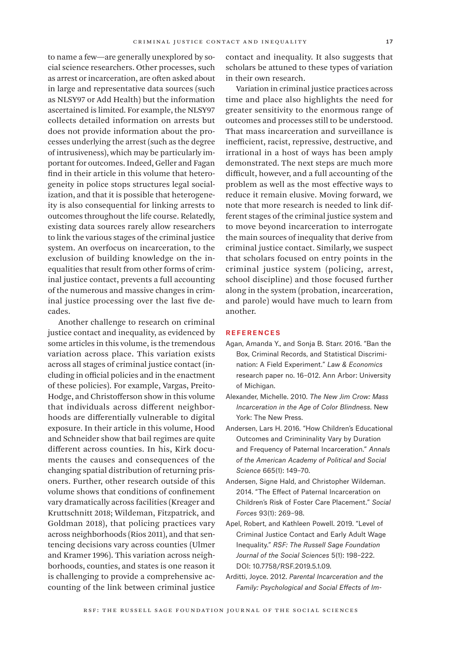to name a few—are generally unexplored by social science researchers. Other processes, such as arrest or incarceration, are often asked about in large and representative data sources (such as NLSY97 or Add Health) but the information ascertained is limited. For example, the NLSY97 collects detailed information on arrests but does not provide information about the processes underlying the arrest (such as the degree of intrusiveness), which may be particularly important for outcomes. Indeed, Geller and Fagan find in their article in this volume that heterogeneity in police stops structures legal socialization, and that it is possible that heterogeneity is also consequential for linking arrests to outcomes throughout the life course. Relatedly, existing data sources rarely allow researchers to link the various stages of the criminal justice system. An overfocus on incarceration, to the exclusion of building knowledge on the inequalities that result from other forms of criminal justice contact, prevents a full accounting of the numerous and massive changes in criminal justice processing over the last five decades.

Another challenge to research on criminal justice contact and inequality, as evidenced by some articles in this volume, is the tremendous variation across place. This variation exists across all stages of criminal justice contact (including in official policies and in the enactment of these policies). For example, Vargas, Preito-Hodge, and Christofferson show in this volume that individuals across different neighborhoods are differentially vulnerable to digital exposure. In their article in this volume, Hood and Schneider show that bail regimes are quite different across counties. In his, Kirk documents the causes and consequences of the changing spatial distribution of returning prisoners. Further, other research outside of this volume shows that conditions of confinement vary dramatically across facilities (Kreager and Kruttschnitt 2018; Wildeman, Fitzpatrick, and Goldman 2018), that policing practices vary across neighborhoods (Rios 2011), and that sentencing decisions vary across counties (Ulmer and Kramer 1996). This variation across neighborhoods, counties, and states is one reason it is challenging to provide a comprehensive accounting of the link between criminal justice

contact and inequality. It also suggests that scholars be attuned to these types of variation in their own research.

Variation in criminal justice practices across time and place also highlights the need for greater sensitivity to the enormous range of outcomes and processes still to be understood. That mass incarceration and surveillance is inefficient, racist, repressive, destructive, and irrational in a host of ways has been amply demonstrated. The next steps are much more difficult, however, and a full accounting of the problem as well as the most effective ways to reduce it remain elusive. Moving forward, we note that more research is needed to link different stages of the criminal justice system and to move beyond incarceration to interrogate the main sources of inequality that derive from criminal justice contact. Similarly, we suspect that scholars focused on entry points in the criminal justice system (policing, arrest, school discipline) and those focused further along in the system (probation, incarceration, and parole) would have much to learn from another.

#### **REFERENCES**

- Agan, Amanda Y., and Sonja B. Starr. 2016. "Ban the Box, Criminal Records, and Statistical Discrimination: A Field Experiment." *Law & Economics* research paper no. 16–012. Ann Arbor: University of Michigan.
- Alexander, Michelle. 2010. *The New Jim Crow: Mass Incarceration in the Age of Color Blindness*. New York: The New Press.
- Andersen, Lars H. 2016. "How Children's Educational Outcomes and Crimininality Vary by Duration and Frequency of Paternal Incarceration." *Annals of the American Academy of Political and Social Science* 665(1): 149–70.
- Andersen, Signe Hald, and Christopher Wildeman. 2014. "The Effect of Paternal Incarceration on Children's Risk of Foster Care Placement." *Social Forces* 93(1): 269–98.
- Apel, Robert, and Kathleen Powell. 2019. "Level of Criminal Justice Contact and Early Adult Wage Inequality." *RSF: The Russell Sage Foundation Journal of the Social Sciences* 5(1): 198–222. DOI: 10.7758/RSF.2019.5.1.09.
- Arditti, Joyce. 2012. *Parental Incarceration and the Family: Psychological and Social Effects of Im-*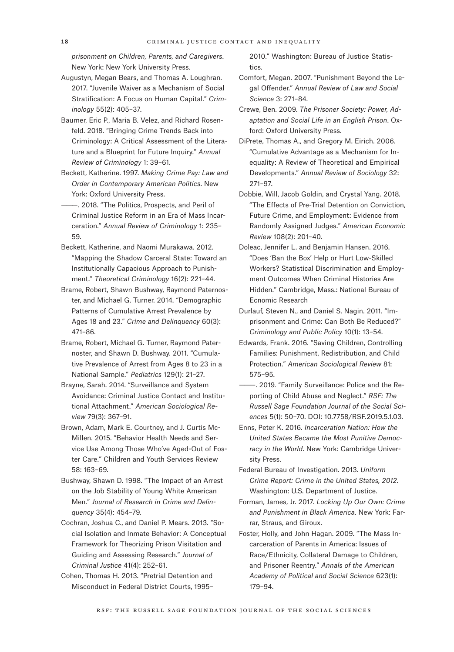*prisonment on Children, Parents, and Caregivers*. New York: New York University Press.

- Augustyn, Megan Bears, and Thomas A. Loughran. 2017. "Juvenile Waiver as a Mechanism of Social Stratification: A Focus on Human Capital." *Criminology* 55(2): 405–37.
- Baumer, Eric P., Maria B. Velez, and Richard Rosenfeld. 2018. "Bringing Crime Trends Back into Criminology: A Critical Assessment of the Literature and a Blueprint for Future Inquiry." *Annual Review of Criminology* 1: 39–61.
- Beckett, Katherine. 1997. *Making Crime Pay: Law and Order in Contemporary American Politics*. New York: Oxford University Press.
- -. 2018. "The Politics, Prospects, and Peril of Criminal Justice Reform in an Era of Mass Incarceration." *Annual Review of Criminology* 1: 235– 59.
- Beckett, Katherine, and Naomi Murakawa. 2012. "Mapping the Shadow Carceral State: Toward an Institutionally Capacious Approach to Punishment." *Theoretical Criminology* 16(2): 221–44.
- Brame, Robert, Shawn Bushway, Raymond Paternoster, and Michael G. Turner. 2014. "Demographic Patterns of Cumulative Arrest Prevalence by Ages 18 and 23." *Crime and Delinquency* 60(3): 471–86.
- Brame, Robert, Michael G. Turner, Raymond Paternoster, and Shawn D. Bushway. 2011. "Cumulative Prevalence of Arrest from Ages 8 to 23 in a National Sample." *Pediatrics* 129(1): 21–27.
- Brayne, Sarah. 2014. "Surveillance and System Avoidance: Criminal Justice Contact and Institutional Attachment." *American Sociological Review* 79(3): 367–91.
- Brown, Adam, Mark E. Courtney, and J. Curtis Mc-Millen. 2015. "Behavior Health Needs and Service Use Among Those Who've Aged-Out of Foster Care." Children and Youth Services Review 58: 163–69.
- Bushway, Shawn D. 1998. "The Impact of an Arrest on the Job Stability of Young White American Men." *Journal of Research in Crime and Delinquency* 35(4): 454–79.
- Cochran, Joshua C., and Daniel P. Mears. 2013. "Social Isolation and Inmate Behavior: A Conceptual Framework for Theorizing Prison Visitation and Guiding and Assessing Research." *Journal of Criminal Justice* 41(4): 252–61.
- Cohen, Thomas H. 2013. "Pretrial Detention and Misconduct in Federal District Courts, 1995–

2010." Washington: Bureau of Justice Statistics.

- Comfort, Megan. 2007. "Punishment Beyond the Legal Offender." *Annual Review of Law and Social Science* 3: 271–84.
- Crewe, Ben. 2009. *The Prisoner Society: Power, Adaptation and Social Life in an English Prison*. Oxford: Oxford University Press.
- DiPrete, Thomas A., and Gregory M. Eirich. 2006. "Cumulative Advantage as a Mechanism for Inequality: A Review of Theoretical and Empirical Developments." *Annual Review of Sociology* 32: 271–97.
- Dobbie, Will, Jacob Goldin, and Crystal Yang. 2018. "The Effects of Pre-Trial Detention on Conviction, Future Crime, and Employment: Evidence from Randomly Assigned Judges." *American Economic Review* 108(2): 201–40.
- Doleac, Jennifer L. and Benjamin Hansen. 2016. "Does 'Ban the Box' Help or Hurt Low-Skilled Workers? Statistical Discrimination and Employment Outcomes When Criminal Histories Are Hidden." Cambridge, Mass.: National Bureau of Ecnomic Research
- Durlauf, Steven N., and Daniel S. Nagin. 2011. "Imprisonment and Crime: Can Both Be Reduced?" *Criminology and Public Policy* 10(1): 13–54.
- Edwards, Frank. 2016. "Saving Children, Controlling Families: Punishment, Redistribution, and Child Protection." *American Sociological Review* 81: 575–95.
- ———. 2019. "Family Surveillance: Police and the Reporting of Child Abuse and Neglect." *RSF: The Russell Sage Foundation Journal of the Social Sciences* 5(1): 50–70. DOI: 10.7758/RSF.2019.5.1.03.
- Enns, Peter K. 2016. *Incarceration Nation: How the United States Became the Most Punitive Democracy in the World*. New York: Cambridge University Press.
- Federal Bureau of Investigation. 2013. *Uniform Crime Report: Crime in the United States, 2012.*  Washington: U.S. Department of Justice.
- Forman, James, Jr. 2017. *Locking Up Our Own: Crime and Punishment in Black America*. New York: Farrar, Straus, and Giroux.
- Foster, Holly, and John Hagan. 2009. "The Mass Incarceration of Parents in America: Issues of Race/Ethnicity, Collateral Damage to Children, and Prisoner Reentry." *Annals of the American Academy of Political and Social Science* 623(1): 179–94.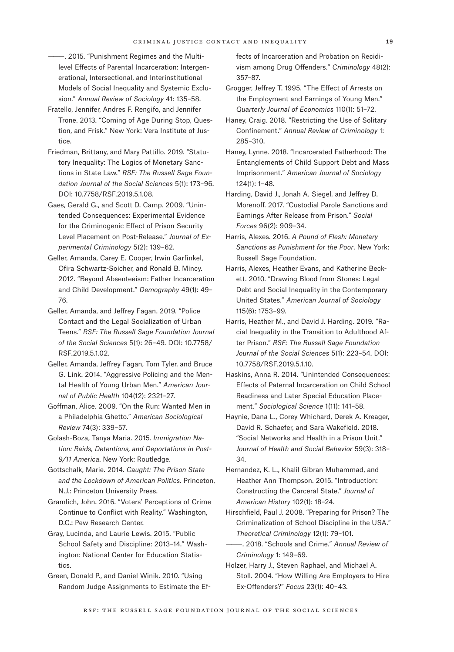- ———. 2015. "Punishment Regimes and the Multilevel Effects of Parental Incarceration: Intergenerational, Intersectional, and Interinstitutional Models of Social Inequality and Systemic Exclusion." *Annual Review of Sociology* 41: 135–58.
- Fratello, Jennifer, Andres F. Rengifo, and Jennifer Trone. 2013. "Coming of Age During Stop, Question, and Frisk." New York: Vera Institute of Justice.
- Friedman, Brittany, and Mary Pattillo. 2019. "Statutory Inequality: The Logics of Monetary Sanctions in State Law." *RSF: The Russell Sage Foundation Journal of the Social Sciences* 5(1): 173–96. DOI: 10.7758/RSF.2019.5.1.08.
- Gaes, Gerald G., and Scott D. Camp. 2009. "Unintended Consequences: Experimental Evidence for the Criminogenic Effect of Prison Security Level Placement on Post-Release." *Journal of Experimental Criminology* 5(2): 139–62.
- Geller, Amanda, Carey E. Cooper, Irwin Garfinkel, Ofira Schwartz-Soicher, and Ronald B. Mincy. 2012. "Beyond Absenteeism: Father Incarceration and Child Development." *Demography* 49(1): 49– 76.
- Geller, Amanda, and Jeffrey Fagan. 2019. "Police Contact and the Legal Socialization of Urban Teens." *RSF: The Russell Sage Foundation Journal of the Social Sciences* 5(1): 26–49. DOI: 10.7758/ RSF.2019.5.1.02.
- Geller, Amanda, Jeffrey Fagan, Tom Tyler, and Bruce G. Link. 2014. "Aggressive Policing and the Mental Health of Young Urban Men." *American Journal of Public Health* 104(12): 2321–27.
- Goffman, Alice. 2009. "On the Run: Wanted Men in a Philadelphia Ghetto." *American Sociological Review* 74(3): 339–57.
- Golash-Boza, Tanya Maria. 2015. *Immigration Nation: Raids, Detentions, and Deportations in Post-9/11 America*. New York: Routledge.
- Gottschalk, Marie. 2014. *Caught: The Prison State and the Lockdown of American Politics*. Princeton, N.J.: Princeton University Press.
- Gramlich, John. 2016. "Voters' Perceptions of Crime Continue to Conflict with Reality." Washington, D.C.: Pew Research Center.
- Gray, Lucinda, and Laurie Lewis. 2015. "Public School Safety and Discipline: 2013–14." Washington: National Center for Education Statistics.

Green, Donald P., and Daniel Winik. 2010. "Using Random Judge Assignments to Estimate the Effects of Incarceration and Probation on Recidivism among Drug Offenders." *Criminology* 48(2): 357–87.

- Grogger, Jeffrey T. 1995. "The Effect of Arrests on the Employment and Earnings of Young Men." *Quarterly Journal of Economics* 110(1): 51–72.
- Haney, Craig. 2018. "Restricting the Use of Solitary Confinement." *Annual Review of Criminology* 1: 285–310.
- Haney, Lynne. 2018. "Incarcerated Fatherhood: The Entanglements of Child Support Debt and Mass Imprisonment." *American Journal of Sociology* 124(1): 1–48.
- Harding, David J., Jonah A. Siegel, and Jeffrey D. Morenoff. 2017. "Custodial Parole Sanctions and Earnings After Release from Prison." *Social Forces* 96(2): 909–34.
- Harris, Alexes. 2016. *A Pound of Flesh: Monetary Sanctions as Punishment for the Poor*. New York: Russell Sage Foundation.
- Harris, Alexes, Heather Evans, and Katherine Beckett. 2010. "Drawing Blood from Stones: Legal Debt and Social Inequality in the Contemporary United States." *American Journal of Sociology* 115(6): 1753–99.
- Harris, Heather M., and David J. Harding. 2019. "Racial Inequality in the Transition to Adulthood After Prison." *RSF: The Russell Sage Foundation Journal of the Social Sciences* 5(1): 223–54. DOI: 10.7758/RSF.2019.5.1.10.
- Haskins, Anna R. 2014. "Unintended Consequences: Effects of Paternal Incarceration on Child School Readiness and Later Special Education Placement." *Sociological Science* 1(11): 141–58.
- Haynie, Dana L., Corey Whichard, Derek A. Kreager, David R. Schaefer, and Sara Wakefield. 2018. "Social Networks and Health in a Prison Unit." *Journal of Health and Social Behavior* 59(3): 318– 34.
- Hernandez, K. L., Khalil Gibran Muhammad, and Heather Ann Thompson. 2015. "Introduction: Constructing the Carceral State." *Journal of American History* 102(1): 18–24.
- Hirschfield, Paul J. 2008. "Preparing for Prison? The Criminalization of School Discipline in the USA." *Theoretical Criminology* 12(1): 79–101.
- ———. 2018. "Schools and Crime." *Annual Review of Criminology* 1: 149–69.
- Holzer, Harry J., Steven Raphael, and Michael A. Stoll. 2004. "How Willing Are Employers to Hire Ex-Offenders?" *Focus* 23(1): 40–43.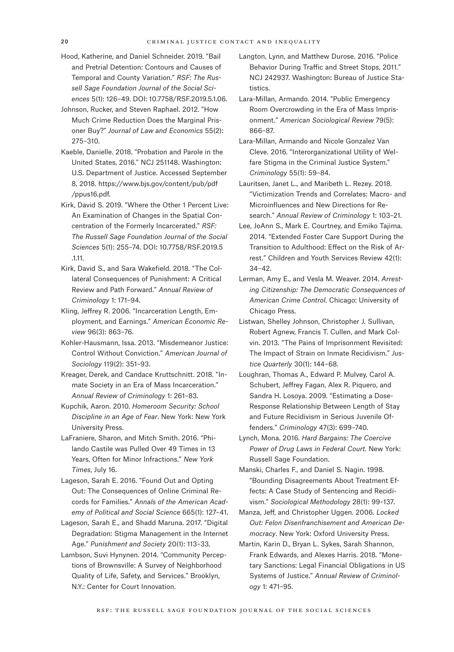- Hood, Katherine, and Daniel Schneider. 2019. "Bail and Pretrial Detention: Contours and Causes of Temporal and County Variation." *RSF: The Russell Sage Foundation Journal of the Social Sciences* 5(1): 126–49. DOI: 10.7758/RSF.2019.5.1.06.
- Johnson, Rucker, and Steven Raphael. 2012. "How Much Crime Reduction Does the Marginal Prisoner Buy?" *Journal of Law and Economics* 55(2): 275–310.
- Kaeble, Danielle. 2018. "Probation and Parole in the United States, 2016." NCJ 251148. Washington: U.S. Department of Justice. Accessed September 8, 2018. [https://www.bjs.gov/content/pub/pdf](https://www.bjs.gov/content/pub/pdf/ppus16.pdf) [/ppus16.pdf](https://www.bjs.gov/content/pub/pdf/ppus16.pdf).
- Kirk, David S. 2019. "Where the Other 1 Percent Live: An Examination of Changes in the Spatial Concentration of the Formerly Incarcerated." *RSF: The Russell Sage Foundation Journal of the Social Sciences* 5(1): 255–74. DOI: 10.7758/RSF.2019.5 .1.11.
- Kirk, David S., and Sara Wakefield. 2018. "The Collateral Consequences of Punishment: A Critical Review and Path Forward." *Annual Review of Criminology* 1: 171–94.
- Kling, Jeffrey R. 2006. "Incarceration Length, Employment, and Earnings." *American Economic Review* 96(3): 863–76.
- Kohler-Hausmann, Issa. 2013. "Misdemeanor Justice: Control Without Conviction." *American Journal of Sociology* 119(2): 351–93.
- Kreager, Derek, and Candace Kruttschnitt. 2018. "Inmate Society in an Era of Mass Incarceration." *Annual Review of Criminology* 1: 261–83.
- Kupchik, Aaron. 2010. *Homeroom Security: School Discipline in an Age of Fear*. New York: New York University Press.
- LaFraniere, Sharon, and Mitch Smith. 2016. "Philando Castile was Pulled Over 49 Times in 13 Years, Often for Minor Infractions." *New York Times*, July 16.
- Lageson, Sarah E. 2016. "Found Out and Opting Out: The Consequences of Online Criminal Records for Families." *Annals of the American Academy of Political and Social Science* 665(1): 127–41.
- Lageson, Sarah E., and Shadd Maruna. 2017. "Digital Degradation: Stigma Management in the Internet Age." *Punishment and Society* 20(1): 113–33.
- Lambson, Suvi Hynynen. 2014. "Community Perceptions of Brownsville: A Survey of Neighborhood Quality of Life, Safety, and Services." Brooklyn, N.Y.: Center for Court Innovation.
- Langton, Lynn, and Matthew Durose. 2016. "Police Behavior During Traffic and Street Stops, 2011." NCJ 242937. Washington: Bureau of Justice Statistics.
- Lara-Millan, Armando. 2014. "Public Emergency Room Overcrowding in the Era of Mass Imprisonment." *American Sociological Review* 79(5): 866–87.
- Lara-Millan, Armando and Nicole Gonzalez Van Cleve. 2016. "Interorganizational Utility of Welfare Stigma in the Criminal Justice System." *Criminology* 55(1): 59–84.
- Lauritsen, Janet L., and Maribeth L. Rezey. 2018. "Victimization Trends and Correlates: Macro- and Microinfluences and New Directions for Research." *Annual Review of Criminology* 1: 103–21.
- Lee, JoAnn S., Mark E. Courtney, and Emiko Tajima. 2014. "Extended Foster Care Support During the Transition to Adulthood: Effect on the Risk of Arrest." Children and Youth Services Review 42(1): 34–42.
- Lerman, Amy E., and Vesla M. Weaver. 2014. *Arresting Citizenship: The Democratic Consequences of American Crime Control*. Chicago: University of Chicago Press.
- Listwan, Shelley Johnson, Christopher J. Sullivan, Robert Agnew, Francis T. Cullen, and Mark Colvin. 2013. "The Pains of Imprisonment Revisited: The Impact of Strain on Inmate Recidivism." *Justice Quarterly* 30(1): 144–68.
- Loughran, Thomas A., Edward P. Mulvey, Carol A. Schubert, Jeffrey Fagan, Alex R. Piquero, and Sandra H. Losoya. 2009. "Estimating a Dose-Response Relationship Between Length of Stay and Future Recidivism in Serious Juvenile Offenders." *Criminology* 47(3): 699–740.
- Lynch, Mona. 2016. *Hard Bargains: The Coercive Power of Drug Laws in Federal Court*. New York: Russell Sage Foundation.
- Manski, Charles F., and Daniel S. Nagin. 1998. "Bounding Disagreements About Treatment Effects: A Case Study of Sentencing and Recidivism." *Sociological Methodology* 28(1): 99–137.
- Manza, Jeff, and Christopher Uggen. 2006. *Locked Out: Felon Disenfranchisement and American Democracy*. New York: Oxford University Press.
- Martin, Karin D., Bryan L. Sykes, Sarah Shannon, Frank Edwards, and Alexes Harris. 2018. "Monetary Sanctions: Legal Financial Obligations in US Systems of Justice." *Annual Review of Criminology* 1: 471–95.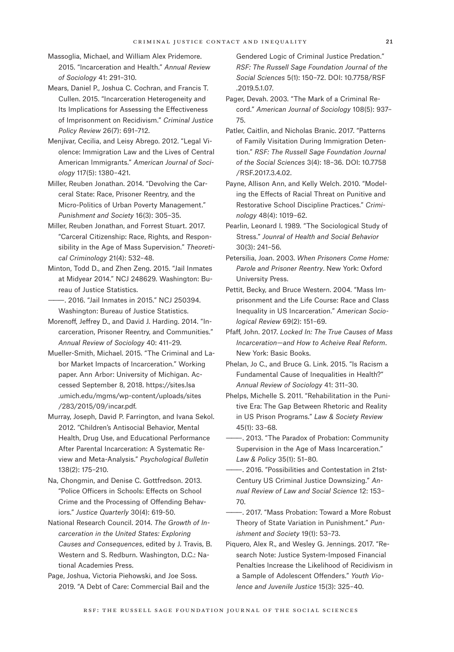- Massoglia, Michael, and William Alex Pridemore. 2015. "Incarceration and Health." *Annual Review of Sociology* 41: 291–310.
- Mears, Daniel P., Joshua C. Cochran, and Francis T. Cullen. 2015. "Incarceration Heterogeneity and Its Implications for Assessing the Effectiveness of Imprisonment on Recidivism." *Criminal Justice Policy Review* 26(7): 691–712.
- Menjívar, Cecilia, and Leisy Abrego. 2012. "Legal Violence: Immigration Law and the Lives of Central American Immigrants." *American Journal of Sociology* 117(5): 1380–421.
- Miller, Reuben Jonathan. 2014. "Devolving the Carceral State: Race, Prisoner Reentry, and the Micro-Politics of Urban Poverty Management." *Punishment and Society* 16(3): 305–35.
- Miller, Reuben Jonathan, and Forrest Stuart. 2017. "Carceral Citizenship: Race, Rights, and Responsibility in the Age of Mass Supervision." *Theoretical Criminology* 21(4): 532–48.
- Minton, Todd D., and Zhen Zeng. 2015. "Jail Inmates at Midyear 2014." NCJ 248629. Washington: Bureau of Justice Statistics.
- ———. 2016. "Jail Inmates in 2015." NCJ 250394. Washington: Bureau of Justice Statistics.
- Morenoff, Jeffrey D., and David J. Harding. 2014. "Incarceration, Prisoner Reentry, and Communities." *Annual Review of Sociology* 40: 411–29.
- Mueller-Smith, Michael. 2015. "The Criminal and Labor Market Impacts of Incarceration." Working paper. Ann Arbor: University of Michigan. Accessed September 8, 2018. [https://sites.lsa](https://sites.lsa.umich.edu/mgms/wp-content/uploads/sites/283/2015/09/incar.pdf) [.umich.edu/mgms/wp-content/uploads/sites](https://sites.lsa.umich.edu/mgms/wp-content/uploads/sites/283/2015/09/incar.pdf) [/283/2015/09/incar.pdf.](https://sites.lsa.umich.edu/mgms/wp-content/uploads/sites/283/2015/09/incar.pdf)
- Murray, Joseph, David P. Farrington, and Ivana Sekol. 2012. "Children's Antisocial Behavior, Mental Health, Drug Use, and Educational Performance After Parental Incarceration: A Systematic Review and Meta-Analysis." *Psychological Bulletin* 138(2): 175–210.
- Na, Chongmin, and Denise C. Gottfredson. 2013. "Police Officers in Schools: Effects on School Crime and the Processing of Offending Behaviors." *Justice Quarterly* 30(4): 619-50.
- National Research Council. 2014. *The Growth of Incarceration in the United States: Exploring Causes and Consequences*, edited by J. Travis, B. Western and S. Redburn. Washington, D.C.: National Academies Press.
- Page, Joshua, Victoria Piehowski, and Joe Soss. 2019. "A Debt of Care: Commercial Bail and the

Gendered Logic of Criminal Justice Predation." *RSF: The Russell Sage Foundation Journal of the Social Sciences* 5(1): 150–72. DOI: 10.7758/RSF .2019.5.1.07.

- Pager, Devah. 2003. "The Mark of a Criminal Record." *American Journal of Sociology* 108(5): 937– 75.
- Patler, Caitlin, and Nicholas Branic. 2017. "Patterns of Family Visitation During Immigration Detention." *RSF: The Russell Sage Foundation Journal of the Social Sciences* 3(4): 18–36. DOI: 10.7758 /RSF.2017.3.4.02.
- Payne, Allison Ann, and Kelly Welch. 2010. "Modeling the Effects of Racial Threat on Punitive and Restorative School Discipline Practices." *Criminology* 48(4): 1019–62.
- Pearlin, Leonard I. 1989. "The Sociological Study of Stress." *Jounral of Health and Social Behavior*  30(3): 241–56.
- Petersilia, Joan. 2003. *When Prisoners Come Home: Parole and Prisoner Reentry*. New York: Oxford University Press.
- Pettit, Becky, and Bruce Western. 2004. "Mass Imprisonment and the Life Course: Race and Class Inequality in US Incarceration." *American Sociological Review* 69(2): 151–69.
- Pfaff, John. 2017. *Locked In: The True Causes of Mass Incarceration—and How to Acheive Real Reform*. New York: Basic Books.
- Phelan, Jo C., and Bruce G. Link. 2015. "Is Racism a Fundamental Cause of Inequalities in Health?" *Annual Review of Sociology* 41: 311–30.
- Phelps, Michelle S. 2011. "Rehabilitation in the Punitive Era: The Gap Between Rhetoric and Reality in US Prison Programs." *Law & Society Review* 45(1): 33–68.
- ———. 2013. "The Paradox of Probation: Community Supervision in the Age of Mass Incarceration." *Law & Policy* 35(1): 51–80.
- ———. 2016. "Possibilities and Contestation in 21st-Century US Criminal Justice Downsizing." *Annual Review of Law and Social Science* 12: 153– 70.
- -. 2017. "Mass Probation: Toward a More Robust Theory of State Variation in Punishment." *Punishment and Society* 19(1): 53–73.
- Piquero, Alex R., and Wesley G. Jennings. 2017. "Research Note: Justice System-Imposed Financial Penalties Increase the Likelihood of Recidivism in a Sample of Adolescent Offenders." *Youth Violence and Juvenile Justice* 15(3): 325–40.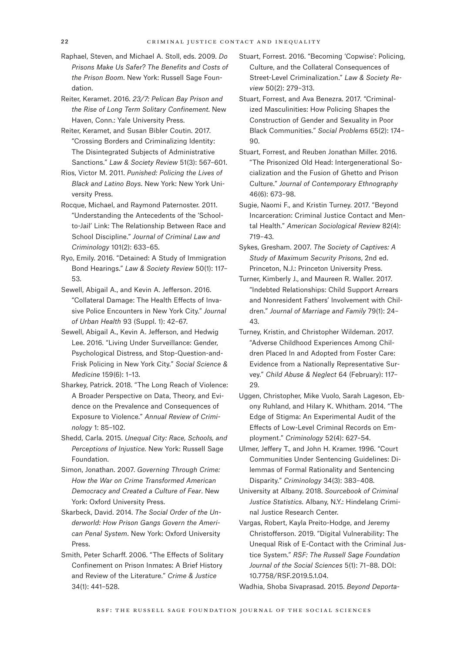- Raphael, Steven, and Michael A. Stoll, eds. 2009. *Do Prisons Make Us Safer? The Benefits and Costs of the Prison Boom*. New York: Russell Sage Foundation.
- Reiter, Keramet. 2016. *23/7: Pelican Bay Prison and the Rise of Long Term Solitary Confinement*. New Haven, Conn.: Yale University Press.
- Reiter, Keramet, and Susan Bibler Coutin. 2017. "Crossing Borders and Criminalizing Identity: The Disintegrated Subjects of Administrative Sanctions." *Law & Society Review* 51(3): 567–601.
- Rios, Victor M. 2011. *Punished: Policing the Lives of Black and Latino Boys*. New York: New York University Press.
- Rocque, Michael, and Raymond Paternoster. 2011. "Understanding the Antecedents of the 'Schoolto-Jail' Link: The Relationship Between Race and School Discipline." *Journal of Criminal Law and Criminology* 101(2): 633–65.
- Ryo, Emily. 2016. "Detained: A Study of Immigration Bond Hearings." *Law & Society Review* 50(1): 117– 53.
- Sewell, Abigail A., and Kevin A. Jefferson. 2016. "Collateral Damage: The Health Effects of Invasive Police Encounters in New York City." *Journal of Urban Health* 93 (Suppl. 1): 42–67.
- Sewell, Abigail A., Kevin A. Jefferson, and Hedwig Lee. 2016. "Living Under Surveillance: Gender, Psychological Distress, and Stop-Question-and-Frisk Policing in New York City." *Social Science & Medicine* 159(6): 1–13.
- Sharkey, Patrick. 2018. "The Long Reach of Violence: A Broader Perspective on Data, Theory, and Evidence on the Prevalence and Consequences of Exposure to Violence." *Annual Review of Criminology* 1: 85–102.
- Shedd, Carla. 2015. *Unequal City: Race, Schools, and Perceptions of Injustice.* New York: Russell Sage Foundation.
- Simon, Jonathan. 2007. *Governing Through Crime: How the War on Crime Transformed American Democracy and Created a Culture of Fear*. New York: Oxford University Press.
- Skarbeck, David. 2014. *The Social Order of the Underworld: How Prison Gangs Govern the American Penal System*. New York: Oxford University Press.
- Smith, Peter Scharff. 2006. "The Effects of Solitary Confinement on Prison Inmates: A Brief History and Review of the Literature." *Crime & Justice* 34(1): 441–528.
- Stuart, Forrest. 2016. "Becoming 'Copwise': Policing, Culture, and the Collateral Consequences of Street-Level Criminalization." *Law & Society Review* 50(2): 279–313.
- Stuart, Forrest, and Ava Benezra. 2017. "Criminalized Masculinities: How Policing Shapes the Construction of Gender and Sexuality in Poor Black Communities." *Social Problems* 65(2): 174– 90.
- Stuart, Forrest, and Reuben Jonathan Miller. 2016. "The Prisonized Old Head: Intergenerational Socialization and the Fusion of Ghetto and Prison Culture." *Journal of Contemporary Ethnography* 46(6): 673–98.
- Sugie, Naomi F., and Kristin Turney. 2017. "Beyond Incarceration: Criminal Justice Contact and Mental Health." *American Sociological Review* 82(4): 719–43.
- Sykes, Gresham. 2007. *The Society of Captives: A Study of Maximum Security Prisons*, 2nd ed. Princeton, N.J.: Princeton University Press.
- Turner, Kimberly J., and Maureen R. Waller. 2017. "Indebted Relationships: Child Support Arrears and Nonresident Fathers' Involvement with Children." *Journal of Marriage and Family* 79(1): 24– 43.
- Turney, Kristin, and Christopher Wildeman. 2017. "Adverse Childhood Experiences Among Children Placed In and Adopted from Foster Care: Evidence from a Nationally Representative Survey." *Child Abuse & Neglect* 64 (February): 117– 29.
- Uggen, Christopher, Mike Vuolo, Sarah Lageson, Ebony Ruhland, and Hilary K. Whitham. 2014. "The Edge of Stigma: An Experimental Audit of the Effects of Low-Level Criminal Records on Employment." *Criminology* 52(4): 627–54.
- Ulmer, Jeffery T., and John H. Kramer. 1996. "Court Communities Under Sentencing Guidelines: Dilemmas of Formal Rationality and Sentencing Disparity." *Criminology* 34(3): 383–408.
- University at Albany. 2018. *Sourcebook of Criminal Justice Statistics*. Albany, N.Y.: Hindelang Criminal Justice Research Center.
- Vargas, Robert, Kayla Preito-Hodge, and Jeremy Christofferson. 2019. "Digital Vulnerability: The Unequal Risk of E-Contact with the Criminal Justice System." *RSF: The Russell Sage Foundation Journal of the Social Sciences* 5(1): 71–88. DOI: 10.7758/RSF.2019.5.1.04.

Wadhia, Shoba Sivaprasad. 2015. *Beyond Deporta-*